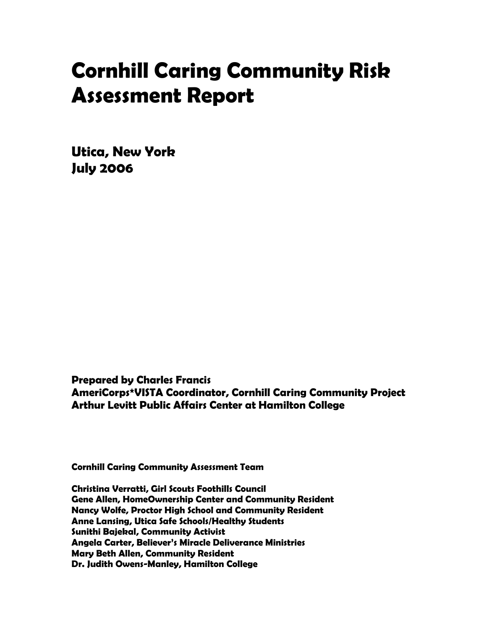# Cornhill Caring Community Risk Assessment Report

Utica, New York July 2006

Prepared by Charles Francis AmeriCorps\*VISTA Coordinator, Cornhill Caring Community Project Arthur Levitt Public Affairs Center at Hamilton College

Cornhill Caring Community Assessment Team

Christina Verratti, Girl Scouts Foothills Council Gene Allen, HomeOwnership Center and Community Resident Nancy Wolfe, Proctor High School and Community Resident Anne Lansing, Utica Safe Schools/Healthy Students Sunithi Bajekal, Community Activist Angela Carter, Believer's Miracle Deliverance Ministries Mary Beth Allen, Community Resident Dr. Judith Owens-Manley, Hamilton College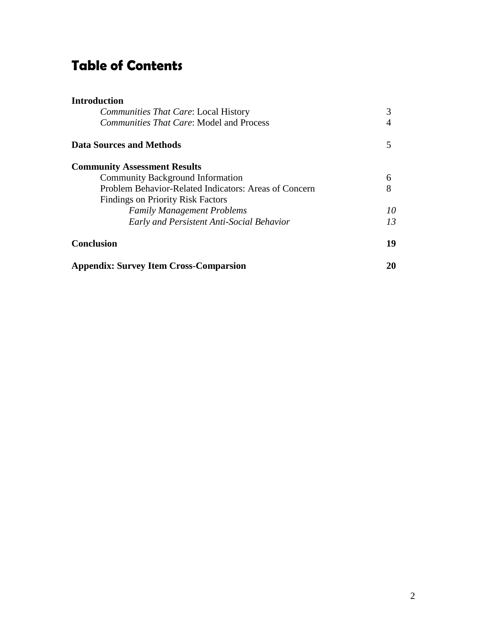## Table of Contents

| <b>Introduction</b>                                   |    |
|-------------------------------------------------------|----|
| <i>Communities That Care: Local History</i>           | 3  |
| <i>Communities That Care:</i> Model and Process       |    |
| <b>Data Sources and Methods</b>                       | 5  |
| <b>Community Assessment Results</b>                   |    |
| <b>Community Background Information</b>               | 6  |
| Problem Behavior-Related Indicators: Areas of Concern | 8  |
| <b>Findings on Priority Risk Factors</b>              |    |
| <b>Family Management Problems</b>                     | 10 |
| Early and Persistent Anti-Social Behavior             | 13 |
| <b>Conclusion</b>                                     | 19 |
| <b>Appendix: Survey Item Cross-Comparsion</b>         | 20 |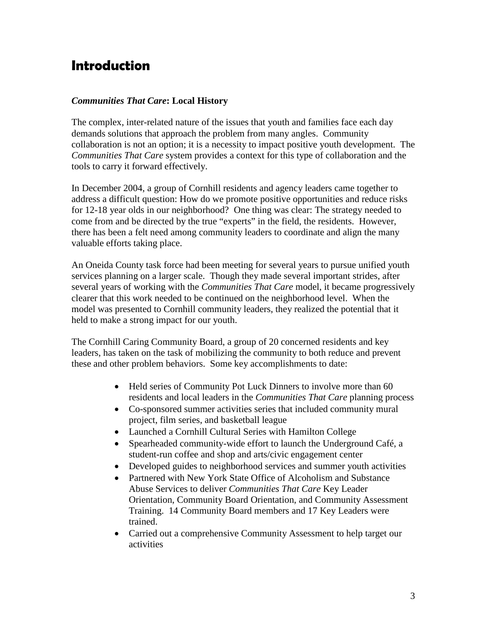### Introduction

#### *Communities That Care***: Local History**

The complex, inter-related nature of the issues that youth and families face each day demands solutions that approach the problem from many angles. Community collaboration is not an option; it is a necessity to impact positive youth development. The *Communities That Care* system provides a context for this type of collaboration and the tools to carry it forward effectively.

In December 2004, a group of Cornhill residents and agency leaders came together to address a difficult question: How do we promote positive opportunities and reduce risks for 12-18 year olds in our neighborhood? One thing was clear: The strategy needed to come from and be directed by the true "experts" in the field, the residents. However, there has been a felt need among community leaders to coordinate and align the many valuable efforts taking place.

An Oneida County task force had been meeting for several years to pursue unified youth services planning on a larger scale. Though they made several important strides, after several years of working with the *Communities That Care* model, it became progressively clearer that this work needed to be continued on the neighborhood level. When the model was presented to Cornhill community leaders, they realized the potential that it held to make a strong impact for our youth.

The Cornhill Caring Community Board, a group of 20 concerned residents and key leaders, has taken on the task of mobilizing the community to both reduce and prevent these and other problem behaviors. Some key accomplishments to date:

- Held series of Community Pot Luck Dinners to involve more than 60 residents and local leaders in the *Communities That Care* planning process
- Co-sponsored summer activities series that included community mural project, film series, and basketball league
- Launched a Cornhill Cultural Series with Hamilton College
- Spearheaded community-wide effort to launch the Underground Café, a student-run coffee and shop and arts/civic engagement center
- Developed guides to neighborhood services and summer youth activities
- Partnered with New York State Office of Alcoholism and Substance Abuse Services to deliver *Communities That Care* Key Leader Orientation, Community Board Orientation, and Community Assessment Training. 14 Community Board members and 17 Key Leaders were trained.
- Carried out a comprehensive Community Assessment to help target our activities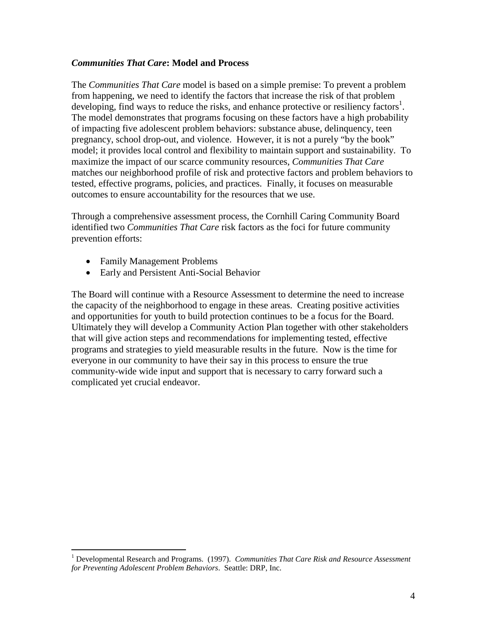#### *Communities That Care***: Model and Process**

The *Communities That Care* model is based on a simple premise: To prevent a problem from happening, we need to identify the factors that increase the risk of that problem developing, find ways to reduce the risks, and enhance protective or resiliency factors<sup>1</sup>. The model demonstrates that programs focusing on these factors have a high probability of impacting five adolescent problem behaviors: substance abuse, delinquency, teen pregnancy, school drop-out, and violence. However, it is not a purely "by the book" model; it provides local control and flexibility to maintain support and sustainability. To maximize the impact of our scarce community resources, *Communities That Care*  matches our neighborhood profile of risk and protective factors and problem behaviors to tested, effective programs, policies, and practices. Finally, it focuses on measurable outcomes to ensure accountability for the resources that we use.

Through a comprehensive assessment process, the Cornhill Caring Community Board identified two *Communities That Care* risk factors as the foci for future community prevention efforts:

- Family Management Problems
- Early and Persistent Anti-Social Behavior

The Board will continue with a Resource Assessment to determine the need to increase the capacity of the neighborhood to engage in these areas. Creating positive activities and opportunities for youth to build protection continues to be a focus for the Board. Ultimately they will develop a Community Action Plan together with other stakeholders that will give action steps and recommendations for implementing tested, effective programs and strategies to yield measurable results in the future. Now is the time for everyone in our community to have their say in this process to ensure the true community-wide wide input and support that is necessary to carry forward such a complicated yet crucial endeavor.

 1 Developmental Research and Programs. (1997). *Communities That Care Risk and Resource Assessment for Preventing Adolescent Problem Behaviors*. Seattle: DRP, Inc.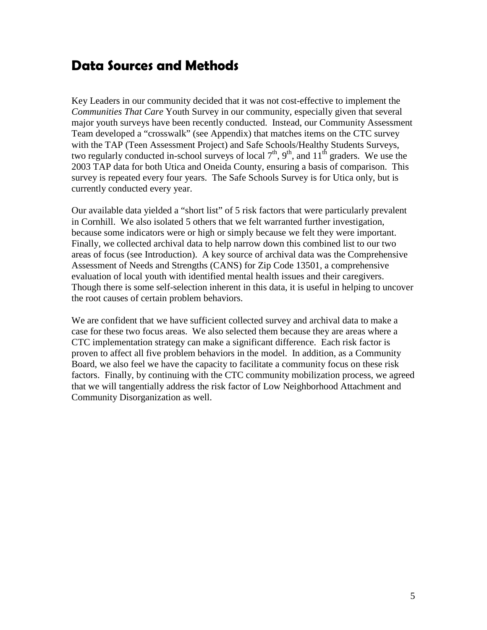### Data Sources and Methods

Key Leaders in our community decided that it was not cost-effective to implement the *Communities That Care* Youth Survey in our community, especially given that several major youth surveys have been recently conducted. Instead, our Community Assessment Team developed a "crosswalk" (see Appendix) that matches items on the CTC survey with the TAP (Teen Assessment Project) and Safe Schools/Healthy Students Surveys, two regularly conducted in-school surveys of local  $7<sup>th</sup>$ ,  $9<sup>th</sup>$ , and  $11<sup>th</sup>$  graders. We use the 2003 TAP data for both Utica and Oneida County, ensuring a basis of comparison. This survey is repeated every four years. The Safe Schools Survey is for Utica only, but is currently conducted every year.

Our available data yielded a "short list" of 5 risk factors that were particularly prevalent in Cornhill. We also isolated 5 others that we felt warranted further investigation, because some indicators were or high or simply because we felt they were important. Finally, we collected archival data to help narrow down this combined list to our two areas of focus (see Introduction). A key source of archival data was the Comprehensive Assessment of Needs and Strengths (CANS) for Zip Code 13501, a comprehensive evaluation of local youth with identified mental health issues and their caregivers. Though there is some self-selection inherent in this data, it is useful in helping to uncover the root causes of certain problem behaviors.

We are confident that we have sufficient collected survey and archival data to make a case for these two focus areas. We also selected them because they are areas where a CTC implementation strategy can make a significant difference. Each risk factor is proven to affect all five problem behaviors in the model. In addition, as a Community Board, we also feel we have the capacity to facilitate a community focus on these risk factors. Finally, by continuing with the CTC community mobilization process, we agreed that we will tangentially address the risk factor of Low Neighborhood Attachment and Community Disorganization as well.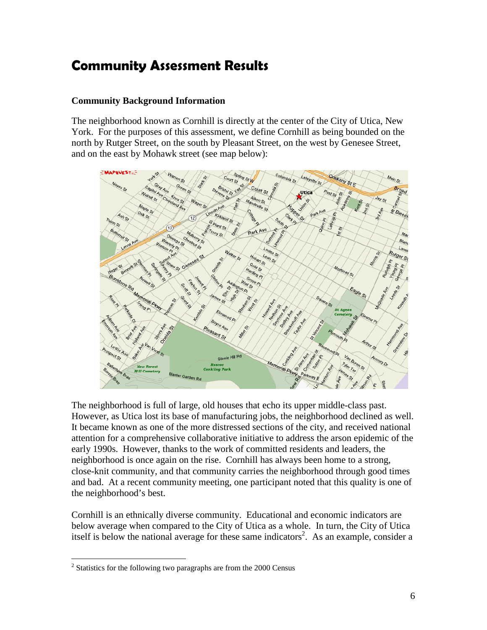### Community Assessment Results

#### **Community Background Information**

The neighborhood known as Cornhill is directly at the center of the City of Utica, New York. For the purposes of this assessment, we define Cornhill as being bounded on the north by Rutger Street, on the south by Pleasant Street, on the west by Genesee Street, and on the east by Mohawk street (see map below):



The neighborhood is full of large, old houses that echo its upper middle-class past. However, as Utica lost its base of manufacturing jobs, the neighborhood declined as well. It became known as one of the more distressed sections of the city, and received national attention for a comprehensive collaborative initiative to address the arson epidemic of the early 1990s. However, thanks to the work of committed residents and leaders, the neighborhood is once again on the rise. Cornhill has always been home to a strong, close-knit community, and that community carries the neighborhood through good times and bad. At a recent community meeting, one participant noted that this quality is one of the neighborhood's best.

Cornhill is an ethnically diverse community. Educational and economic indicators are below average when compared to the City of Utica as a whole. In turn, the City of Utica itself is below the national average for these same indicators<sup>2</sup>. As an example, consider a

<sup>&</sup>lt;u>.</u>  $2$  Statistics for the following two paragraphs are from the 2000 Census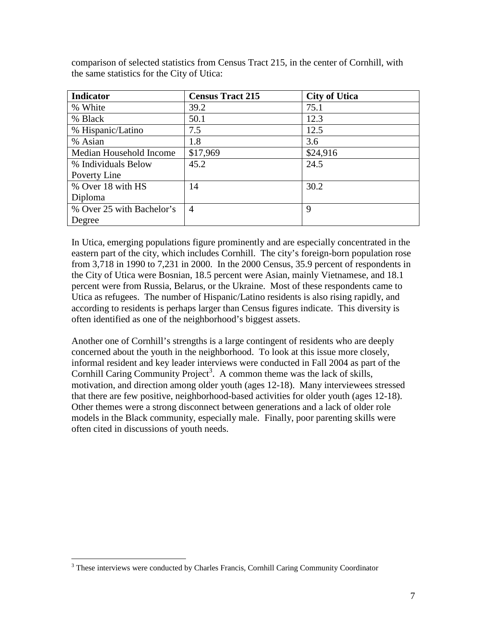| <b>Indicator</b>          | <b>Census Tract 215</b> | <b>City of Utica</b> |
|---------------------------|-------------------------|----------------------|
| % White                   | 39.2                    | 75.1                 |
| % Black                   | 50.1                    | 12.3                 |
| % Hispanic/Latino         | 7.5                     | 12.5                 |
| % Asian                   | 1.8                     | 3.6                  |
| Median Household Income   | \$17,969                | \$24,916             |
| % Individuals Below       | 45.2                    | 24.5                 |
| Poverty Line              |                         |                      |
| % Over 18 with HS         | 14                      | 30.2                 |
| Diploma                   |                         |                      |
| % Over 25 with Bachelor's | 4                       | 9                    |
| Degree                    |                         |                      |

comparison of selected statistics from Census Tract 215, in the center of Cornhill, with the same statistics for the City of Utica:

In Utica, emerging populations figure prominently and are especially concentrated in the eastern part of the city, which includes Cornhill. The city's foreign-born population rose from 3,718 in 1990 to 7,231 in 2000. In the 2000 Census, 35.9 percent of respondents in the City of Utica were Bosnian, 18.5 percent were Asian, mainly Vietnamese, and 18.1 percent were from Russia, Belarus, or the Ukraine. Most of these respondents came to Utica as refugees. The number of Hispanic/Latino residents is also rising rapidly, and according to residents is perhaps larger than Census figures indicate. This diversity is often identified as one of the neighborhood's biggest assets.

Another one of Cornhill's strengths is a large contingent of residents who are deeply concerned about the youth in the neighborhood. To look at this issue more closely, informal resident and key leader interviews were conducted in Fall 2004 as part of the Cornhill Caring Community Project<sup>3</sup>. A common theme was the lack of skills, motivation, and direction among older youth (ages 12-18). Many interviewees stressed that there are few positive, neighborhood-based activities for older youth (ages 12-18). Other themes were a strong disconnect between generations and a lack of older role models in the Black community, especially male. Finally, poor parenting skills were often cited in discussions of youth needs.

 $\overline{a}$ <sup>3</sup> These interviews were conducted by Charles Francis, Cornhill Caring Community Coordinator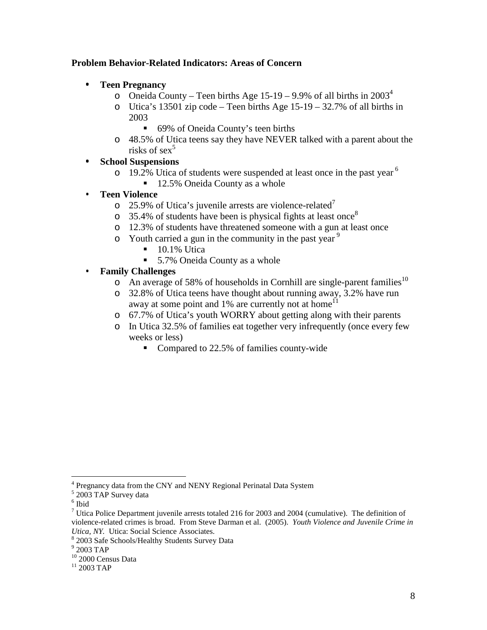#### **Problem Behavior-Related Indicators: Areas of Concern**

- $\bullet$ **Teen Pregnancy** 
	- o Oneida County Teen births Age 15-19 9.9% of all births in  $2003^4$
	- o Utica's 13501 zip code Teen births Age 15-19 32.7% of all births in 2003
		- 69% of Oneida County's teen births
	- o 48.5% of Utica teens say they have NEVER talked with a parent about the risks of  $sex<sup>5</sup>$
- $\blacksquare$ **School Suspensions**
	- o 19.2% Utica of students were suspended at least once in the past year  $6$ 
		- 12.5% Oneida County as a whole

#### **Teen Violence**   $\bullet$

- o 25.9% of Utica's juvenile arrests are violence-related<sup> $\prime$ </sup>
- $\circ$  35.4% of students have been is physical fights at least once<sup>8</sup>
- o 12.3% of students have threatened someone with a gun at least once
- $\circ$  Youth carried a gun in the community in the past year<sup>9</sup>
	- $\blacksquare$  10.1% Utica
	- 5.7% Oneida County as a whole

#### **Family Challenges**  ٠

- o An average of 58% of households in Cornhill are single-parent families<sup>10</sup>
- o 32.8% of Utica teens have thought about running away, 3.2% have run away at some point and  $1\%$  are currently not at home<sup>11</sup>
- o 67.7% of Utica's youth WORRY about getting along with their parents
- o In Utica 32.5% of families eat together very infrequently (once every few weeks or less)
	- Compared to 22.5% of families county-wide

 $\overline{a}$ 

<sup>&</sup>lt;sup>4</sup> Pregnancy data from the CNY and NENY Regional Perinatal Data System

<sup>5</sup> 2003 TAP Survey data

<sup>6</sup> Ibid

<sup>&</sup>lt;sup>7</sup> Utica Police Department juvenile arrests totaled 216 for 2003 and 2004 (cumulative). The definition of violence-related crimes is broad. From Steve Darman et al. (2005). *Youth Violence and Juvenile Crime in Utica, NY.* Utica: Social Science Associates.

<sup>8</sup> 2003 Safe Schools/Healthy Students Survey Data

<sup>9</sup> 2003 TAP

<sup>&</sup>lt;sup>10</sup> 2000 Census Data

 $11$  2003 TAP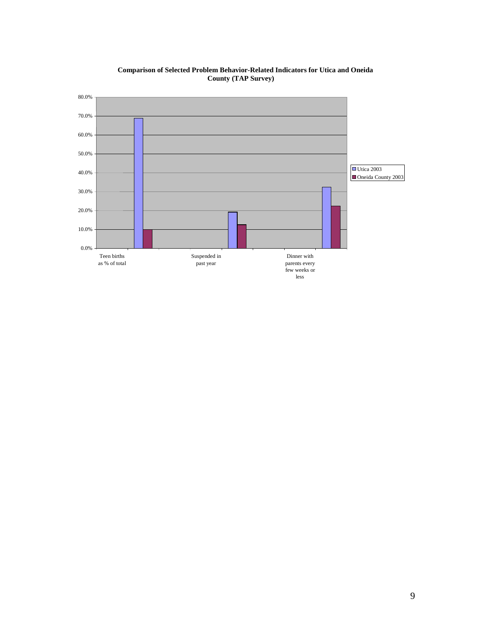

**Comparison of Selected Problem Behavior-Related Indicators for Utica and Oneida County (TAP Survey)**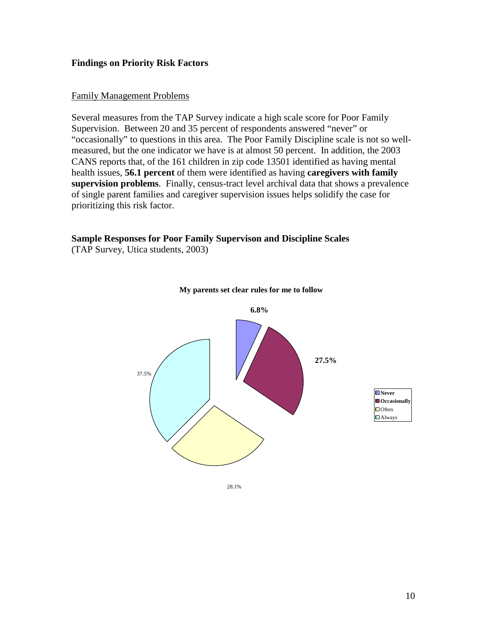#### **Findings on Priority Risk Factors**

#### Family Management Problems

Several measures from the TAP Survey indicate a high scale score for Poor Family Supervision. Between 20 and 35 percent of respondents answered "never" or "occasionally" to questions in this area. The Poor Family Discipline scale is not so wellmeasured, but the one indicator we have is at almost 50 percent. In addition, the 2003 CANS reports that, of the 161 children in zip code 13501 identified as having mental health issues, **56.1 percent** of them were identified as having **caregivers with family supervision problems**. Finally, census-tract level archival data that shows a prevalence of single parent families and caregiver supervision issues helps solidify the case for prioritizing this risk factor.

### **Sample Responses for Poor Family Supervison and Discipline Scales**

(TAP Survey, Utica students, 2003)



#### **My parents set clear rules for me to follow**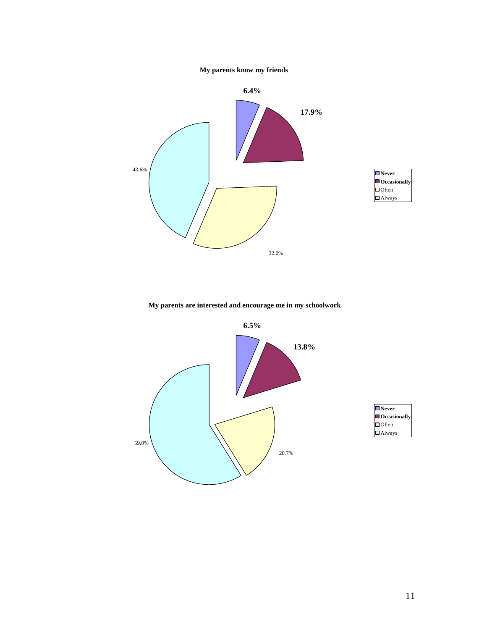



**My parents are interested and encourage me in my schoolwork**

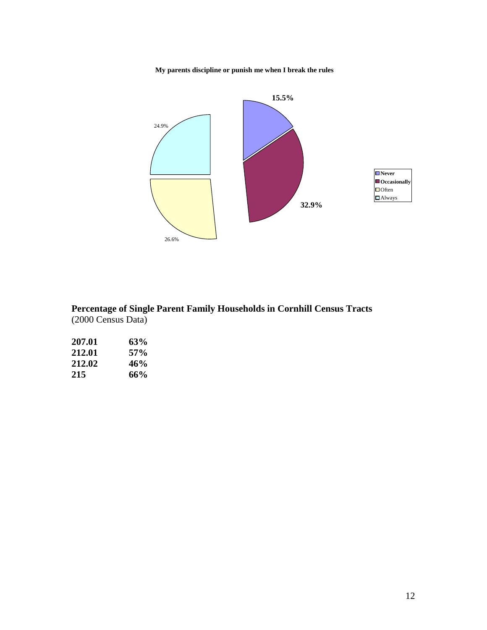**My parents discipline or punish me when I break the rules**



**Percentage of Single Parent Family Households in Cornhill Census Tracts**  (2000 Census Data)

| 207.01 | 63% |
|--------|-----|
| 212.01 | 57% |
| 212.02 | 46% |
| 215    | 66% |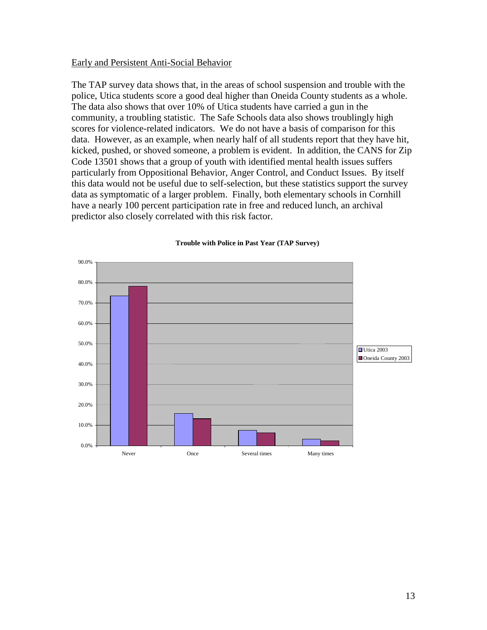#### Early and Persistent Anti-Social Behavior

The TAP survey data shows that, in the areas of school suspension and trouble with the police, Utica students score a good deal higher than Oneida County students as a whole. The data also shows that over 10% of Utica students have carried a gun in the community, a troubling statistic. The Safe Schools data also shows troublingly high scores for violence-related indicators. We do not have a basis of comparison for this data. However, as an example, when nearly half of all students report that they have hit, kicked, pushed, or shoved someone, a problem is evident. In addition, the CANS for Zip Code 13501 shows that a group of youth with identified mental health issues suffers particularly from Oppositional Behavior, Anger Control, and Conduct Issues. By itself this data would not be useful due to self-selection, but these statistics support the survey data as symptomatic of a larger problem. Finally, both elementary schools in Cornhill have a nearly 100 percent participation rate in free and reduced lunch, an archival predictor also closely correlated with this risk factor.



#### **Trouble with Police in Past Year (TAP Survey)**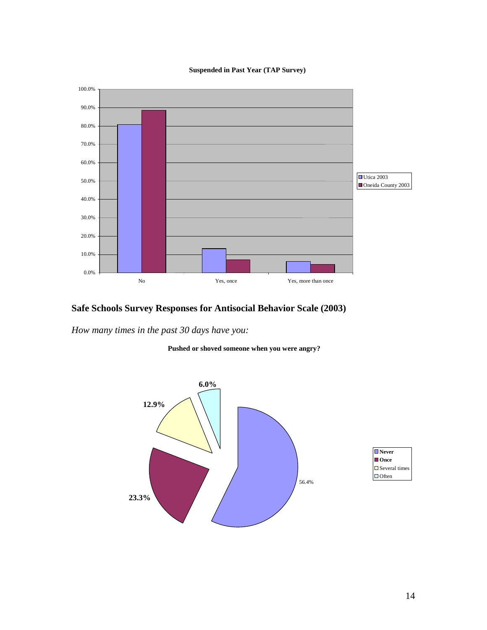#### **Suspended in Past Year (TAP Survey)**



### **Safe Schools Survey Responses for Antisocial Behavior Scale (2003)**

*How many times in the past 30 days have you:* 



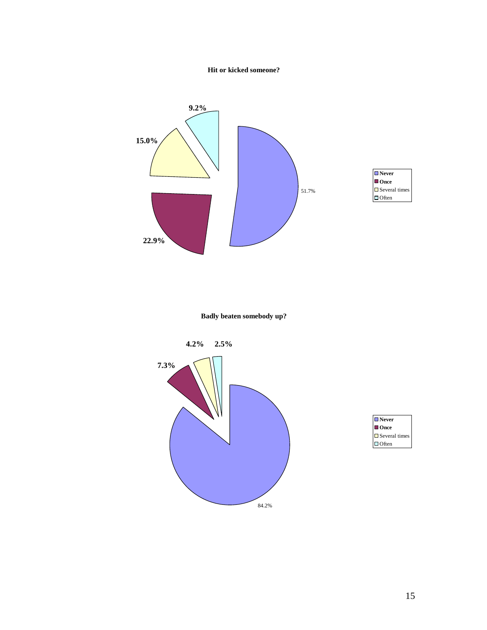



**Badly beaten somebody up?**



| $\blacksquare$ Never    |
|-------------------------|
| $\blacksquare$ Once     |
| $\square$ Several times |
| $\Box$ Often            |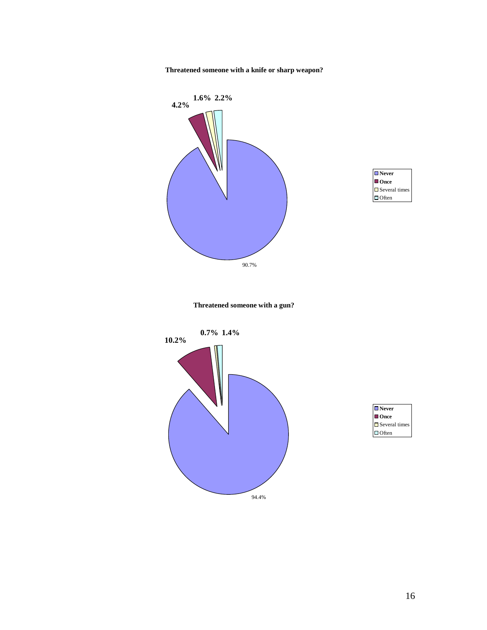**Threatened someone with a knife or sharp weapon?**





**Threatened someone with a gun?**





16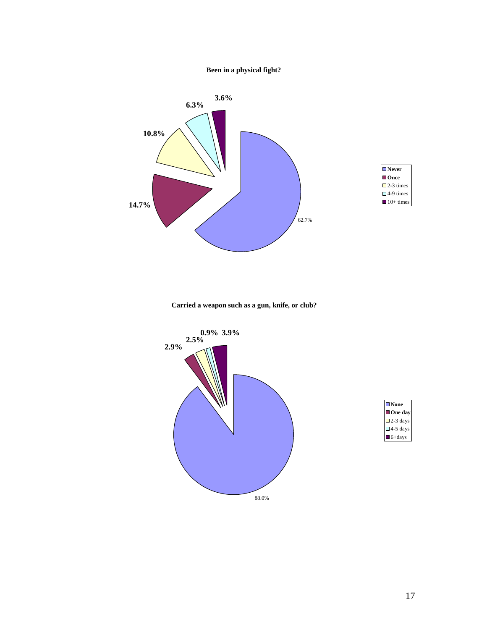#### **Been in a physical fight?**



| $\blacksquare$ Never |  |
|----------------------|--|
| l Once               |  |
| $\square$ 2-3 times  |  |
| $\Box$ 4-9 times     |  |
| $10+$ times          |  |

**Carried a weapon such as a gun, knife, or club?**



| $\blacksquare$ None   |
|-----------------------|
| One day               |
| $\square$ 2-3 days    |
| $\square$ 4-5 days    |
| $\blacksquare$ 6+days |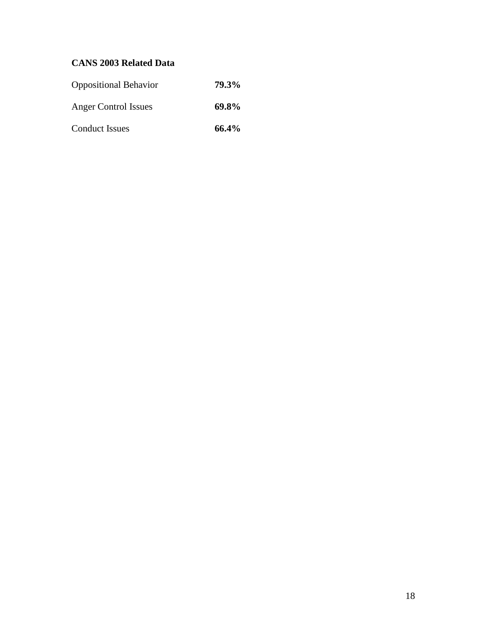### **CANS 2003 Related Data**

| <b>Oppositional Behavior</b> | 79.3% |
|------------------------------|-------|
| <b>Anger Control Issues</b>  | 69.8% |
| <b>Conduct Issues</b>        | 66.4% |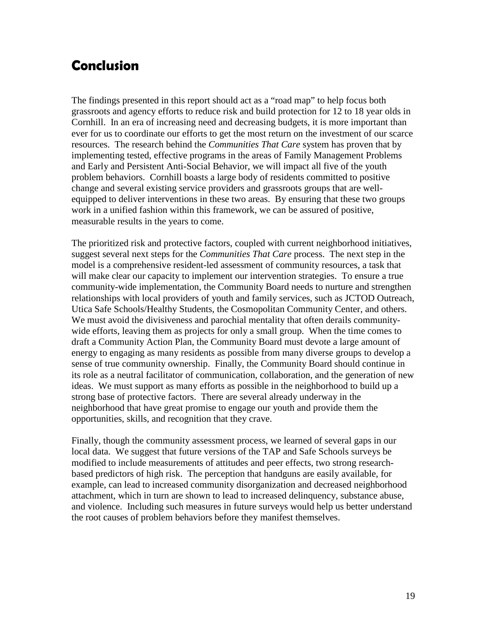### Conclusion

The findings presented in this report should act as a "road map" to help focus both grassroots and agency efforts to reduce risk and build protection for 12 to 18 year olds in Cornhill. In an era of increasing need and decreasing budgets, it is more important than ever for us to coordinate our efforts to get the most return on the investment of our scarce resources. The research behind the *Communities That Care* system has proven that by implementing tested, effective programs in the areas of Family Management Problems and Early and Persistent Anti-Social Behavior, we will impact all five of the youth problem behaviors. Cornhill boasts a large body of residents committed to positive change and several existing service providers and grassroots groups that are wellequipped to deliver interventions in these two areas. By ensuring that these two groups work in a unified fashion within this framework, we can be assured of positive, measurable results in the years to come.

The prioritized risk and protective factors, coupled with current neighborhood initiatives, suggest several next steps for the *Communities That Care* process. The next step in the model is a comprehensive resident-led assessment of community resources, a task that will make clear our capacity to implement our intervention strategies. To ensure a true community-wide implementation, the Community Board needs to nurture and strengthen relationships with local providers of youth and family services, such as JCTOD Outreach, Utica Safe Schools/Healthy Students, the Cosmopolitan Community Center, and others. We must avoid the divisiveness and parochial mentality that often derails communitywide efforts, leaving them as projects for only a small group. When the time comes to draft a Community Action Plan, the Community Board must devote a large amount of energy to engaging as many residents as possible from many diverse groups to develop a sense of true community ownership. Finally, the Community Board should continue in its role as a neutral facilitator of communication, collaboration, and the generation of new ideas. We must support as many efforts as possible in the neighborhood to build up a strong base of protective factors. There are several already underway in the neighborhood that have great promise to engage our youth and provide them the opportunities, skills, and recognition that they crave.

Finally, though the community assessment process, we learned of several gaps in our local data. We suggest that future versions of the TAP and Safe Schools surveys be modified to include measurements of attitudes and peer effects, two strong researchbased predictors of high risk. The perception that handguns are easily available, for example, can lead to increased community disorganization and decreased neighborhood attachment, which in turn are shown to lead to increased delinquency, substance abuse, and violence. Including such measures in future surveys would help us better understand the root causes of problem behaviors before they manifest themselves.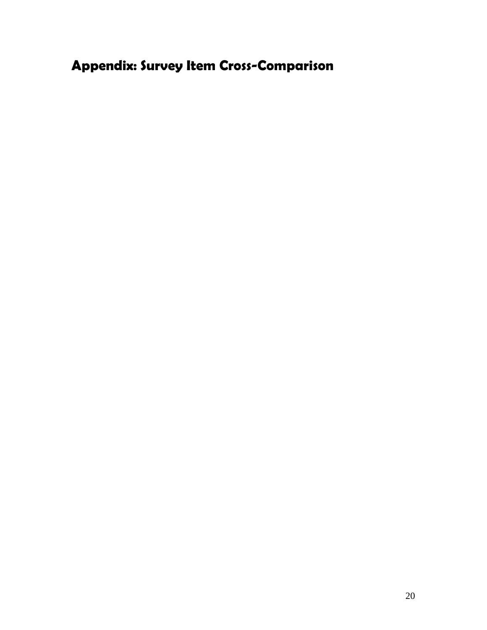# Appendix: Survey Item Cross-Comparison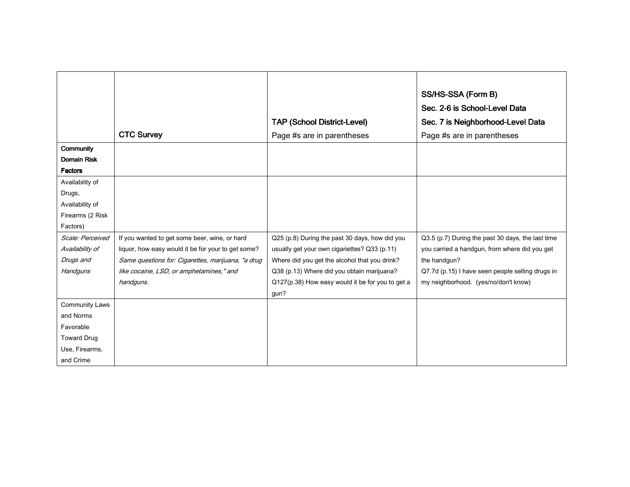| Community<br><b>Domain Risk</b><br><b>Factors</b> | <b>CTC Survey</b>                                  | <b>TAP (School District-Level)</b><br>Page #s are in parentheses | SS/HS-SSA (Form B)<br>Sec. 2-6 is School-Level Data<br>Sec. 7 is Neighborhood-Level Data<br>Page #s are in parentheses |
|---------------------------------------------------|----------------------------------------------------|------------------------------------------------------------------|------------------------------------------------------------------------------------------------------------------------|
|                                                   |                                                    |                                                                  |                                                                                                                        |
| Availability of                                   |                                                    |                                                                  |                                                                                                                        |
| Drugs,                                            |                                                    |                                                                  |                                                                                                                        |
| Availability of                                   |                                                    |                                                                  |                                                                                                                        |
| Firearms (2 Risk                                  |                                                    |                                                                  |                                                                                                                        |
| Factors)                                          |                                                    |                                                                  |                                                                                                                        |
| Scale: Perceived                                  | If you wanted to get some beer, wine, or hard      | Q25 (p.8) During the past 30 days, how did you                   | Q3.5 (p.7) During the past 30 days, the last time                                                                      |
| Availability of                                   | liquor, how easy would it be for your to get some? | usually get your own cigariettes? Q33 (p.11)                     | you carried a handgun, from where did you get                                                                          |
| Drugs and                                         | Same questions for: Cigarettes, marijuana, "a drug | Where did you get the alcohol that you drink?                    | the handgun?                                                                                                           |
| Handguns                                          | like cocaine, LSD, or amphetamines," and           | Q38 (p.13) Where did you obtain marijuana?                       | Q7.7d (p.15) I have seen people selling drugs in                                                                       |
|                                                   | handguns.                                          | Q127(p.38) How easy would it be for you to get a                 | my neighborhood. (yes/no/don't know)                                                                                   |
|                                                   |                                                    | gun?                                                             |                                                                                                                        |
| <b>Community Laws</b>                             |                                                    |                                                                  |                                                                                                                        |
| and Norms                                         |                                                    |                                                                  |                                                                                                                        |
| Favorable                                         |                                                    |                                                                  |                                                                                                                        |
| <b>Toward Drug</b>                                |                                                    |                                                                  |                                                                                                                        |
| Use, Firearms,                                    |                                                    |                                                                  |                                                                                                                        |
| and Crime                                         |                                                    |                                                                  |                                                                                                                        |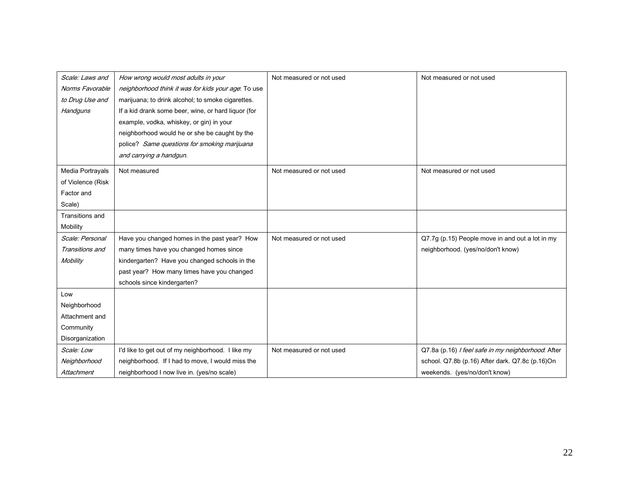| Scale: Laws and   | How wrong would most adults in your                 | Not measured or not used | Not measured or not used                           |
|-------------------|-----------------------------------------------------|--------------------------|----------------------------------------------------|
| Norms Favorable   | neighborhood think it was for kids your age. To use |                          |                                                    |
| to Drug Use and   | marijuana; to drink alcohol; to smoke cigarettes.   |                          |                                                    |
| Handguns          | If a kid drank some beer, wine, or hard liquor (for |                          |                                                    |
|                   | example, vodka, whiskey, or gin) in your            |                          |                                                    |
|                   | neighborhood would he or she be caught by the       |                          |                                                    |
|                   | police? Same questions for smoking marijuana        |                          |                                                    |
|                   | and carrying a handgun.                             |                          |                                                    |
| Media Portrayals  | Not measured                                        | Not measured or not used | Not measured or not used                           |
| of Violence (Risk |                                                     |                          |                                                    |
| Factor and        |                                                     |                          |                                                    |
| Scale)            |                                                     |                          |                                                    |
| Transitions and   |                                                     |                          |                                                    |
| Mobility          |                                                     |                          |                                                    |
| Scale: Personal   | Have you changed homes in the past year? How        | Not measured or not used | Q7.7g (p.15) People move in and out a lot in my    |
| Transitions and   | many times have you changed homes since             |                          | neighborhood. (yes/no/don't know)                  |
| Mobility          | kindergarten? Have you changed schools in the       |                          |                                                    |
|                   | past year? How many times have you changed          |                          |                                                    |
|                   | schools since kindergarten?                         |                          |                                                    |
| Low               |                                                     |                          |                                                    |
| Neighborhood      |                                                     |                          |                                                    |
| Attachment and    |                                                     |                          |                                                    |
| Community         |                                                     |                          |                                                    |
| Disorganization   |                                                     |                          |                                                    |
| Scale: Low        | I'd like to get out of my neighborhood. I like my   | Not measured or not used | Q7.8a (p.16) / feel safe in my neighborhood. After |
| Neighborhood      | neighborhood. If I had to move, I would miss the    |                          | school. Q7.8b (p.16) After dark. Q7.8c (p.16)On    |
| Attachment        | neighborhood I now live in. (yes/no scale)          |                          | weekends. (yes/no/don't know)                      |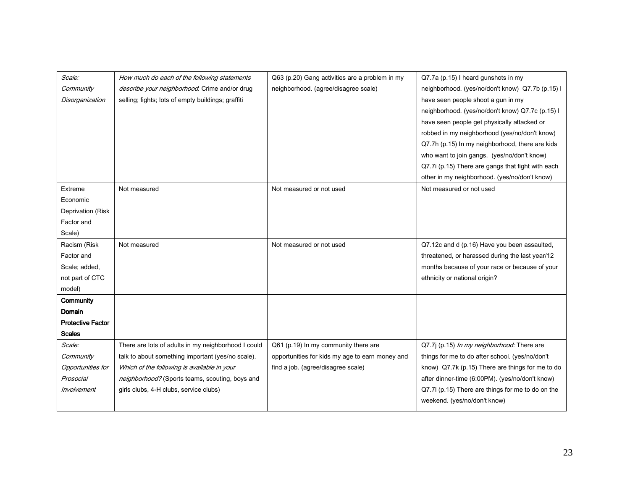| Scale:<br>Q63 (p.20) Gang activities are a problem in my<br>How much do each of the following statements<br>Q7.7a (p.15) I heard gunshots in my<br>neighborhood. (agree/disagree scale)<br>Community<br>describe your neighborhood. Crime and/or drug<br>neighborhood. (yes/no/don't know) Q7.7b (p.15) I<br>selling; fights; lots of empty buildings; graffiti<br>Disorganization<br>have seen people shoot a gun in my<br>neighborhood. (yes/no/don't know) Q7.7c (p.15) I |
|------------------------------------------------------------------------------------------------------------------------------------------------------------------------------------------------------------------------------------------------------------------------------------------------------------------------------------------------------------------------------------------------------------------------------------------------------------------------------|
|                                                                                                                                                                                                                                                                                                                                                                                                                                                                              |
|                                                                                                                                                                                                                                                                                                                                                                                                                                                                              |
|                                                                                                                                                                                                                                                                                                                                                                                                                                                                              |
| have seen people get physically attacked or                                                                                                                                                                                                                                                                                                                                                                                                                                  |
| robbed in my neighborhood (yes/no/don't know)                                                                                                                                                                                                                                                                                                                                                                                                                                |
| Q7.7h (p.15) In my neighborhood, there are kids                                                                                                                                                                                                                                                                                                                                                                                                                              |
| who want to join gangs. (yes/no/don't know)                                                                                                                                                                                                                                                                                                                                                                                                                                  |
| Q7.7i (p.15) There are gangs that fight with each                                                                                                                                                                                                                                                                                                                                                                                                                            |
| other in my neighborhood. (yes/no/don't know)                                                                                                                                                                                                                                                                                                                                                                                                                                |
| Extreme<br>Not measured<br>Not measured or not used<br>Not measured or not used                                                                                                                                                                                                                                                                                                                                                                                              |
| Economic                                                                                                                                                                                                                                                                                                                                                                                                                                                                     |
| Deprivation (Risk                                                                                                                                                                                                                                                                                                                                                                                                                                                            |
| Factor and                                                                                                                                                                                                                                                                                                                                                                                                                                                                   |
| Scale)                                                                                                                                                                                                                                                                                                                                                                                                                                                                       |
| Racism (Risk<br>Not measured<br>Not measured or not used<br>Q7.12c and d (p.16) Have you been assaulted,                                                                                                                                                                                                                                                                                                                                                                     |
| Factor and<br>threatened, or harassed during the last year/12                                                                                                                                                                                                                                                                                                                                                                                                                |
| months because of your race or because of your<br>Scale; added,                                                                                                                                                                                                                                                                                                                                                                                                              |
| not part of CTC<br>ethnicity or national origin?                                                                                                                                                                                                                                                                                                                                                                                                                             |
| model)                                                                                                                                                                                                                                                                                                                                                                                                                                                                       |
| Community                                                                                                                                                                                                                                                                                                                                                                                                                                                                    |
| Domain                                                                                                                                                                                                                                                                                                                                                                                                                                                                       |
| <b>Protective Factor</b>                                                                                                                                                                                                                                                                                                                                                                                                                                                     |
| <b>Scales</b>                                                                                                                                                                                                                                                                                                                                                                                                                                                                |
| Scale:<br>There are lots of adults in my neighborhood I could<br>Q61 (p.19) In my community there are<br>Q7.7j (p.15) In my neighborhood: There are                                                                                                                                                                                                                                                                                                                          |
| talk to about something important (yes/no scale).<br>things for me to do after school. (yes/no/don't<br>Community<br>opportunities for kids my age to earn money and                                                                                                                                                                                                                                                                                                         |
| find a job. (agree/disagree scale)<br>Which of the following is available in your<br>know) Q7.7k (p.15) There are things for me to do<br>Opportunities for                                                                                                                                                                                                                                                                                                                   |
| Prosocial<br>after dinner-time (6:00PM). (yes/no/don't know)<br>neighborhood? (Sports teams, scouting, boys and                                                                                                                                                                                                                                                                                                                                                              |
| Involvement<br>Q7.7l (p.15) There are things for me to do on the<br>girls clubs, 4-H clubs, service clubs)                                                                                                                                                                                                                                                                                                                                                                   |
| weekend. (yes/no/don't know)                                                                                                                                                                                                                                                                                                                                                                                                                                                 |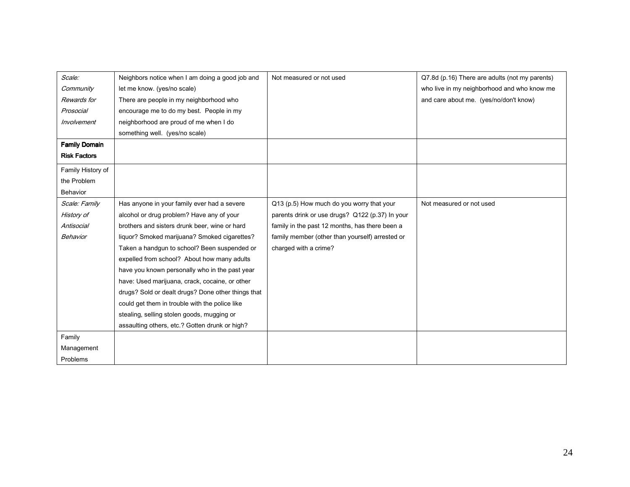| Scale:               | Neighbors notice when I am doing a good job and    | Not measured or not used                        | Q7.8d (p.16) There are adults (not my parents) |
|----------------------|----------------------------------------------------|-------------------------------------------------|------------------------------------------------|
| Community            | let me know. (yes/no scale)                        |                                                 | who live in my neighborhood and who know me    |
| Rewards for          | There are people in my neighborhood who            |                                                 | and care about me. (yes/no/don't know)         |
| Prosocial            | encourage me to do my best. People in my           |                                                 |                                                |
| Involvement          | neighborhood are proud of me when I do             |                                                 |                                                |
|                      | something well. (yes/no scale)                     |                                                 |                                                |
| <b>Family Domain</b> |                                                    |                                                 |                                                |
| <b>Risk Factors</b>  |                                                    |                                                 |                                                |
| Family History of    |                                                    |                                                 |                                                |
| the Problem          |                                                    |                                                 |                                                |
| Behavior             |                                                    |                                                 |                                                |
| Scale: Family        | Has anyone in your family ever had a severe        | Q13 (p.5) How much do you worry that your       | Not measured or not used                       |
| History of           | alcohol or drug problem? Have any of your          | parents drink or use drugs? Q122 (p.37) In your |                                                |
| Antisocial           | brothers and sisters drunk beer, wine or hard      | family in the past 12 months, has there been a  |                                                |
| Behavior             | liquor? Smoked marijuana? Smoked cigarettes?       | family member (other than yourself) arrested or |                                                |
|                      | Taken a handgun to school? Been suspended or       | charged with a crime?                           |                                                |
|                      | expelled from school? About how many adults        |                                                 |                                                |
|                      | have you known personally who in the past year     |                                                 |                                                |
|                      | have: Used marijuana, crack, cocaine, or other     |                                                 |                                                |
|                      | drugs? Sold or dealt drugs? Done other things that |                                                 |                                                |
|                      | could get them in trouble with the police like     |                                                 |                                                |
|                      | stealing, selling stolen goods, mugging or         |                                                 |                                                |
|                      | assaulting others, etc.? Gotten drunk or high?     |                                                 |                                                |
| Family               |                                                    |                                                 |                                                |
| Management           |                                                    |                                                 |                                                |
| Problems             |                                                    |                                                 |                                                |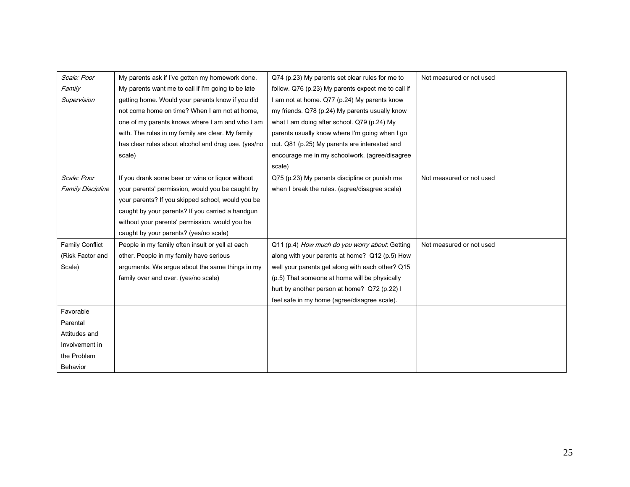| Scale: Poor              | My parents ask if I've gotten my homework done.     | Q74 (p.23) My parents set clear rules for me to    | Not measured or not used |
|--------------------------|-----------------------------------------------------|----------------------------------------------------|--------------------------|
| Family                   | My parents want me to call if I'm going to be late  | follow. Q76 (p.23) My parents expect me to call if |                          |
| Supervision              | getting home. Would your parents know if you did    | I am not at home. Q77 (p.24) My parents know       |                          |
|                          | not come home on time? When I am not at home,       | my friends. Q78 (p.24) My parents usually know     |                          |
|                          | one of my parents knows where I am and who I am     | what I am doing after school. Q79 (p.24) My        |                          |
|                          | with. The rules in my family are clear. My family   | parents usually know where I'm going when I go     |                          |
|                          | has clear rules about alcohol and drug use. (yes/no | out. Q81 (p.25) My parents are interested and      |                          |
|                          | scale)                                              | encourage me in my schoolwork. (agree/disagree     |                          |
|                          |                                                     | scale)                                             |                          |
| Scale: Poor              | If you drank some beer or wine or liquor without    | Q75 (p.23) My parents discipline or punish me      | Not measured or not used |
| <b>Family Discipline</b> | your parents' permission, would you be caught by    | when I break the rules. (agree/disagree scale)     |                          |
|                          | your parents? If you skipped school, would you be   |                                                    |                          |
|                          | caught by your parents? If you carried a handgun    |                                                    |                          |
|                          | without your parents' permission, would you be      |                                                    |                          |
|                          | caught by your parents? (yes/no scale)              |                                                    |                          |
| <b>Family Conflict</b>   | People in my family often insult or yell at each    | Q11 (p.4) How much do you worry about. Getting     | Not measured or not used |
| (Risk Factor and         | other. People in my family have serious             | along with your parents at home? Q12 (p.5) How     |                          |
| Scale)                   | arguments. We argue about the same things in my     | well your parents get along with each other? Q15   |                          |
|                          | family over and over. (yes/no scale)                | (p.5) That someone at home will be physically      |                          |
|                          |                                                     | hurt by another person at home? Q72 (p.22) I       |                          |
|                          |                                                     | feel safe in my home (agree/disagree scale).       |                          |
| Favorable                |                                                     |                                                    |                          |
| Parental                 |                                                     |                                                    |                          |
| Attitudes and            |                                                     |                                                    |                          |
| Involvement in           |                                                     |                                                    |                          |
| the Problem              |                                                     |                                                    |                          |
| Behavior                 |                                                     |                                                    |                          |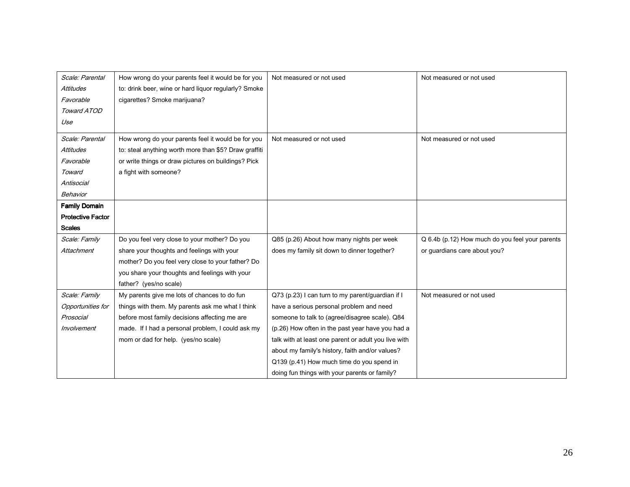| Scale: Parental          | How wrong do your parents feel it would be for you    | Not measured or not used                             | Not measured or not used                        |
|--------------------------|-------------------------------------------------------|------------------------------------------------------|-------------------------------------------------|
| <b>Attitudes</b>         | to: drink beer, wine or hard liquor regularly? Smoke  |                                                      |                                                 |
| Favorable                | cigarettes? Smoke marijuana?                          |                                                      |                                                 |
| Toward ATOD              |                                                       |                                                      |                                                 |
| Use                      |                                                       |                                                      |                                                 |
| Scale: Parental          | How wrong do your parents feel it would be for you    | Not measured or not used                             | Not measured or not used                        |
| <b>Attitudes</b>         |                                                       |                                                      |                                                 |
|                          | to: steal anything worth more than \$5? Draw graffiti |                                                      |                                                 |
| Favorable                | or write things or draw pictures on buildings? Pick   |                                                      |                                                 |
| Toward                   | a fight with someone?                                 |                                                      |                                                 |
| Antisocial               |                                                       |                                                      |                                                 |
| Behavior                 |                                                       |                                                      |                                                 |
| <b>Family Domain</b>     |                                                       |                                                      |                                                 |
| <b>Protective Factor</b> |                                                       |                                                      |                                                 |
| <b>Scales</b>            |                                                       |                                                      |                                                 |
| Scale: Family            | Do you feel very close to your mother? Do you         | Q85 (p.26) About how many nights per week            | Q 6.4b (p.12) How much do you feel your parents |
| Attachment               | share your thoughts and feelings with your            | does my family sit down to dinner together?          | or quardians care about you?                    |
|                          | mother? Do you feel very close to your father? Do     |                                                      |                                                 |
|                          | you share your thoughts and feelings with your        |                                                      |                                                 |
|                          | father? (yes/no scale)                                |                                                      |                                                 |
| Scale: Family            | My parents give me lots of chances to do fun          | Q73 (p.23) I can turn to my parent/guardian if I     | Not measured or not used                        |
| Opportunities for        | things with them. My parents ask me what I think      | have a serious personal problem and need             |                                                 |
| Prosocial                | before most family decisions affecting me are         | someone to talk to (agree/disagree scale). Q84       |                                                 |
| Involvement              | made. If I had a personal problem, I could ask my     | (p.26) How often in the past year have you had a     |                                                 |
|                          | mom or dad for help. (yes/no scale)                   | talk with at least one parent or adult you live with |                                                 |
|                          |                                                       | about my family's history, faith and/or values?      |                                                 |
|                          |                                                       | Q139 (p.41) How much time do you spend in            |                                                 |
|                          |                                                       | doing fun things with your parents or family?        |                                                 |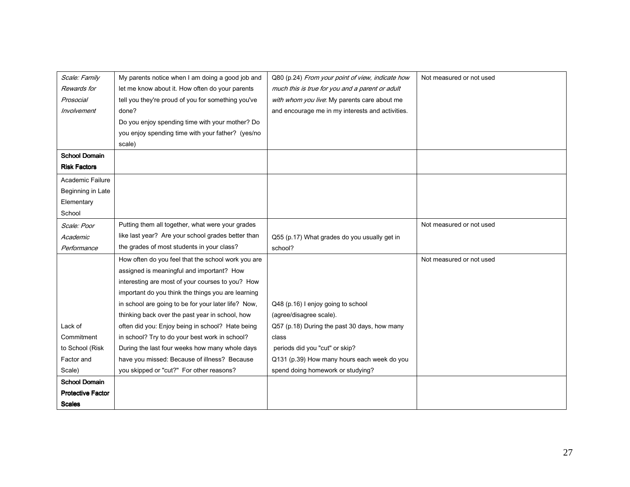| Scale: Family            | My parents notice when I am doing a good job and    | Q80 (p.24) From your point of view, indicate how | Not measured or not used |
|--------------------------|-----------------------------------------------------|--------------------------------------------------|--------------------------|
| Rewards for              | let me know about it. How often do your parents     | much this is true for you and a parent or adult  |                          |
| Prosocial                | tell you they're proud of you for something you've  | with whom you live. My parents care about me     |                          |
| Involvement              | done?                                               | and encourage me in my interests and activities. |                          |
|                          | Do you enjoy spending time with your mother? Do     |                                                  |                          |
|                          | you enjoy spending time with your father? (yes/no   |                                                  |                          |
|                          | scale)                                              |                                                  |                          |
| <b>School Domain</b>     |                                                     |                                                  |                          |
| <b>Risk Factors</b>      |                                                     |                                                  |                          |
| Academic Failure         |                                                     |                                                  |                          |
| Beginning in Late        |                                                     |                                                  |                          |
| Elementary               |                                                     |                                                  |                          |
| School                   |                                                     |                                                  |                          |
| Scale: Poor              | Putting them all together, what were your grades    |                                                  | Not measured or not used |
| Academic                 | like last year? Are your school grades better than  | Q55 (p.17) What grades do you usually get in     |                          |
| Performance              | the grades of most students in your class?          | school?                                          |                          |
|                          | How often do you feel that the school work you are  |                                                  | Not measured or not used |
|                          | assigned is meaningful and important? How           |                                                  |                          |
|                          | interesting are most of your courses to you? How    |                                                  |                          |
|                          | important do you think the things you are learning  |                                                  |                          |
|                          | in school are going to be for your later life? Now, | Q48 (p.16) I enjoy going to school               |                          |
|                          | thinking back over the past year in school, how     | (agree/disagree scale).                          |                          |
| Lack of                  | often did you: Enjoy being in school? Hate being    | Q57 (p.18) During the past 30 days, how many     |                          |
| Commitment               | in school? Try to do your best work in school?      | class                                            |                          |
| to School (Risk          | During the last four weeks how many whole days      | periods did you "cut" or skip?                   |                          |
| Factor and               | have you missed: Because of illness? Because        | Q131 (p.39) How many hours each week do you      |                          |
| Scale)                   | you skipped or "cut?" For other reasons?            | spend doing homework or studying?                |                          |
| <b>School Domain</b>     |                                                     |                                                  |                          |
| <b>Protective Factor</b> |                                                     |                                                  |                          |
| <b>Scales</b>            |                                                     |                                                  |                          |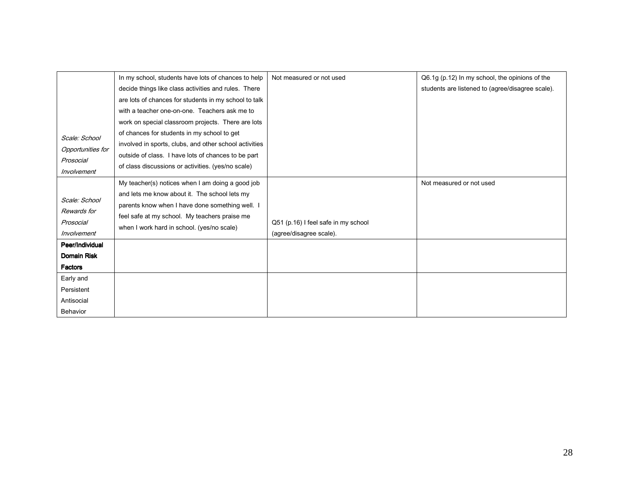|                                | In my school, students have lots of chances to help    | Not measured or not used            | Q6.1g (p.12) In my school, the opinions of the   |
|--------------------------------|--------------------------------------------------------|-------------------------------------|--------------------------------------------------|
|                                | decide things like class activities and rules. There   |                                     | students are listened to (agree/disagree scale). |
|                                | are lots of chances for students in my school to talk  |                                     |                                                  |
|                                | with a teacher one-on-one. Teachers ask me to          |                                     |                                                  |
|                                | work on special classroom projects. There are lots     |                                     |                                                  |
| Scale: School                  | of chances for students in my school to get            |                                     |                                                  |
|                                | involved in sports, clubs, and other school activities |                                     |                                                  |
| Opportunities for<br>Prosocial | outside of class. I have lots of chances to be part    |                                     |                                                  |
| Involvement                    | of class discussions or activities. (yes/no scale)     |                                     |                                                  |
|                                |                                                        |                                     |                                                  |
|                                | My teacher(s) notices when I am doing a good job       |                                     | Not measured or not used                         |
| Scale: School                  | and lets me know about it. The school lets my          |                                     |                                                  |
| Rewards for                    | parents know when I have done something well. I        |                                     |                                                  |
| Prosocial                      | feel safe at my school. My teachers praise me          | Q51 (p.16) I feel safe in my school |                                                  |
|                                | when I work hard in school. (yes/no scale)             |                                     |                                                  |
| Involvement                    |                                                        | (agree/disagree scale).             |                                                  |
| Peer/Individual                |                                                        |                                     |                                                  |
| <b>Domain Risk</b>             |                                                        |                                     |                                                  |
| <b>Factors</b>                 |                                                        |                                     |                                                  |
| Early and                      |                                                        |                                     |                                                  |
| Persistent                     |                                                        |                                     |                                                  |
| Antisocial                     |                                                        |                                     |                                                  |
| Behavior                       |                                                        |                                     |                                                  |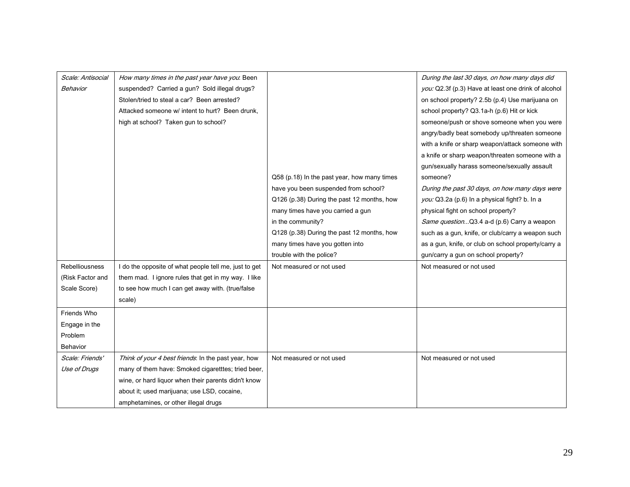| Scale: Antisocial | How many times in the past year have you. Been        |                                             | During the last 30 days, on how many days did       |
|-------------------|-------------------------------------------------------|---------------------------------------------|-----------------------------------------------------|
| <b>Behavior</b>   | suspended? Carried a gun? Sold illegal drugs?         |                                             | you: Q2.3f (p.3) Have at least one drink of alcohol |
|                   | Stolen/tried to steal a car? Been arrested?           |                                             | on school property? 2.5b (p.4) Use marijuana on     |
|                   | Attacked someone w/ intent to hurt? Been drunk.       |                                             | school property? Q3.1a-h (p.6) Hit or kick          |
|                   | high at school? Taken gun to school?                  |                                             | someone/push or shove someone when you were         |
|                   |                                                       |                                             | angry/badly beat somebody up/threaten someone       |
|                   |                                                       |                                             | with a knife or sharp weapon/attack someone with    |
|                   |                                                       |                                             | a knife or sharp weapon/threaten someone with a     |
|                   |                                                       |                                             | gun/sexually harass someone/sexually assault        |
|                   |                                                       | Q58 (p.18) In the past year, how many times | someone?                                            |
|                   |                                                       | have you been suspended from school?        | During the past 30 days, on how many days were      |
|                   |                                                       | Q126 (p.38) During the past 12 months, how  | you: Q3.2a (p.6) In a physical fight? b. In a       |
|                   |                                                       | many times have you carried a gun           | physical fight on school property?                  |
|                   |                                                       | in the community?                           | Same question Q3.4 a-d (p.6) Carry a weapon         |
|                   |                                                       | Q128 (p.38) During the past 12 months, how  | such as a gun, knife, or club/carry a weapon such   |
|                   |                                                       | many times have you gotten into             | as a gun, knife, or club on school property/carry a |
|                   |                                                       | trouble with the police?                    | gun/carry a gun on school property?                 |
| Rebelliousness    | I do the opposite of what people tell me, just to get | Not measured or not used                    | Not measured or not used                            |
| (Risk Factor and  | them mad. I ignore rules that get in my way. I like   |                                             |                                                     |
| Scale Score)      | to see how much I can get away with. (true/false      |                                             |                                                     |
|                   | scale)                                                |                                             |                                                     |
| Friends Who       |                                                       |                                             |                                                     |
| Engage in the     |                                                       |                                             |                                                     |
| Problem           |                                                       |                                             |                                                     |
| <b>Behavior</b>   |                                                       |                                             |                                                     |
| Scale: Friends'   | Think of your 4 best friends: In the past year, how   | Not measured or not used                    | Not measured or not used                            |
| Use of Drugs      | many of them have: Smoked cigaretttes; tried beer,    |                                             |                                                     |
|                   | wine, or hard liquor when their parents didn't know   |                                             |                                                     |
|                   | about it; used marijuana; use LSD, cocaine,           |                                             |                                                     |
|                   | amphetamines, or other illegal drugs                  |                                             |                                                     |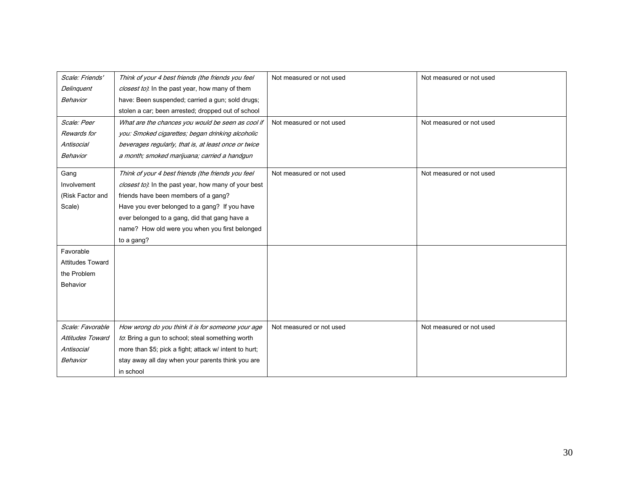| Scale: Friends'         | Think of your 4 best friends (the friends you feel     | Not measured or not used | Not measured or not used |
|-------------------------|--------------------------------------------------------|--------------------------|--------------------------|
| Delinguent              | closest to). In the past year, how many of them        |                          |                          |
| Behavior                | have: Been suspended; carried a gun; sold drugs;       |                          |                          |
|                         | stolen a car; been arrested; dropped out of school     |                          |                          |
| Scale: Peer             | What are the chances you would be seen as cool if      | Not measured or not used | Not measured or not used |
| Rewards for             | you: Smoked cigarettes; began drinking alcoholic       |                          |                          |
| Antisocial              | beverages regularly, that is, at least once or twice   |                          |                          |
| Behavior                | a month; smoked marijuana; carried a handgun           |                          |                          |
| Gang                    | Think of your 4 best friends (the friends you feel     | Not measured or not used | Not measured or not used |
| Involvement             | closest to). In the past year, how many of your best   |                          |                          |
| (Risk Factor and        | friends have been members of a gang?                   |                          |                          |
| Scale)                  | Have you ever belonged to a gang? If you have          |                          |                          |
|                         | ever belonged to a gang, did that gang have a          |                          |                          |
|                         | name? How old were you when you first belonged         |                          |                          |
|                         |                                                        |                          |                          |
|                         | to a gang?                                             |                          |                          |
| Favorable               |                                                        |                          |                          |
| <b>Attitudes Toward</b> |                                                        |                          |                          |
| the Problem             |                                                        |                          |                          |
| Behavior                |                                                        |                          |                          |
|                         |                                                        |                          |                          |
|                         |                                                        |                          |                          |
| Scale: Favorable        | How wrong do you think it is for someone your age      | Not measured or not used | Not measured or not used |
| Attitudes Toward        | to: Bring a gun to school; steal something worth       |                          |                          |
| Antisocial              | more than \$5; pick a fight; attack w/ intent to hurt; |                          |                          |
| Behavior                | stay away all day when your parents think you are      |                          |                          |
|                         | in school                                              |                          |                          |
|                         |                                                        |                          |                          |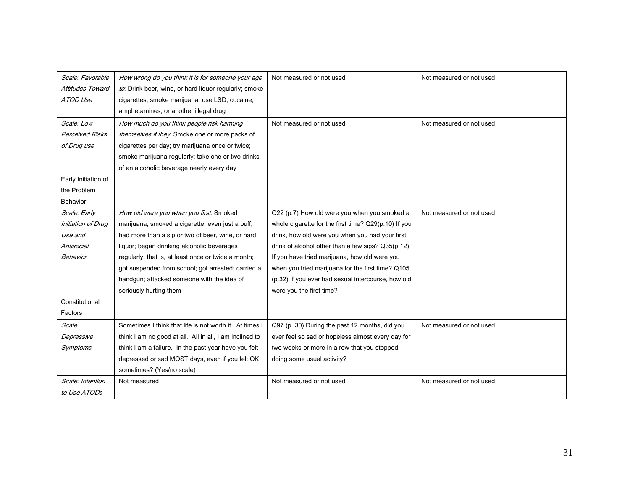| Scale: Favorable        | How wrong do you think it is for someone your age       | Not measured or not used                             | Not measured or not used |
|-------------------------|---------------------------------------------------------|------------------------------------------------------|--------------------------|
| <b>Attitudes Toward</b> | to. Drink beer, wine, or hard liquor regularly; smoke   |                                                      |                          |
| ATOD Use                | cigarettes; smoke marijuana; use LSD, cocaine,          |                                                      |                          |
|                         | amphetamines, or another illegal drug                   |                                                      |                          |
| Scale: Low              | How much do you think people risk harming               | Not measured or not used                             | Not measured or not used |
| <b>Perceived Risks</b>  | themselves if they. Smoke one or more packs of          |                                                      |                          |
| of Drug use             | cigarettes per day; try marijuana once or twice;        |                                                      |                          |
|                         | smoke marijuana regularly; take one or two drinks       |                                                      |                          |
|                         | of an alcoholic beverage nearly every day               |                                                      |                          |
| Early Initiation of     |                                                         |                                                      |                          |
| the Problem             |                                                         |                                                      |                          |
| Behavior                |                                                         |                                                      |                          |
| Scale: Early            | How old were you when you first. Smoked                 | Q22 (p.7) How old were you when you smoked a         | Not measured or not used |
| Initiation of Drug      | marijuana; smoked a cigarette, even just a puff;        | whole cigarette for the first time? Q29(p.10) If you |                          |
| Use and                 | had more than a sip or two of beer, wine, or hard       | drink, how old were you when you had your first      |                          |
| Antisocial              | liquor; began drinking alcoholic beverages              | drink of alcohol other than a few sips? Q35(p.12)    |                          |
| Behavior                | regularly, that is, at least once or twice a month;     | If you have tried marijuana, how old were you        |                          |
|                         | got suspended from school; got arrested; carried a      | when you tried marijuana for the first time? Q105    |                          |
|                         | handgun; attacked someone with the idea of              | (p.32) If you ever had sexual intercourse, how old   |                          |
|                         | seriously hurting them                                  | were you the first time?                             |                          |
| Constitutional          |                                                         |                                                      |                          |
| Factors                 |                                                         |                                                      |                          |
| Scale:                  | Sometimes I think that life is not worth it. At times I | Q97 (p. 30) During the past 12 months, did you       | Not measured or not used |
| Depressive              | think I am no good at all. All in all, I am inclined to | ever feel so sad or hopeless almost every day for    |                          |
| Symptoms                | think I am a failure. In the past year have you felt    | two weeks or more in a row that you stopped          |                          |
|                         | depressed or sad MOST days, even if you felt OK         | doing some usual activity?                           |                          |
|                         | sometimes? (Yes/no scale)                               |                                                      |                          |
| Scale: Intention        | Not measured                                            | Not measured or not used                             | Not measured or not used |
| to Use ATODs            |                                                         |                                                      |                          |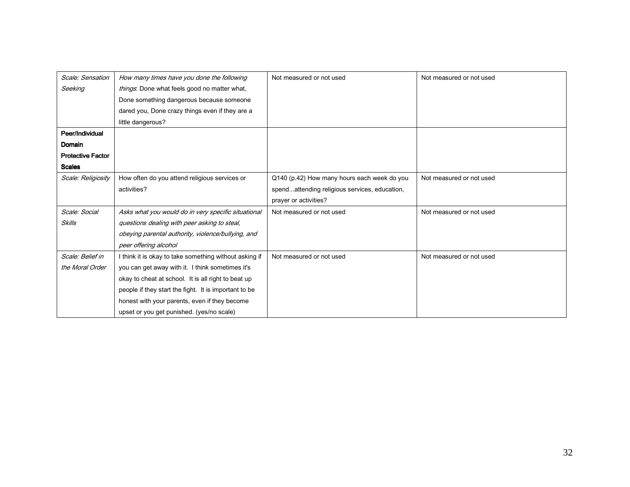| Scale: Sensation         | How many times have you done the following             | Not measured or not used                      | Not measured or not used |
|--------------------------|--------------------------------------------------------|-----------------------------------------------|--------------------------|
| Seeking                  | things: Done what feels good no matter what,           |                                               |                          |
|                          | Done something dangerous because someone               |                                               |                          |
|                          | dared you, Done crazy things even if they are a        |                                               |                          |
|                          | little dangerous?                                      |                                               |                          |
| Peer/Individual          |                                                        |                                               |                          |
| Domain                   |                                                        |                                               |                          |
| <b>Protective Factor</b> |                                                        |                                               |                          |
| <b>Scales</b>            |                                                        |                                               |                          |
| Scale: Religiosity       | How often do you attend religious services or          | Q140 (p.42) How many hours each week do you   | Not measured or not used |
|                          | activities?                                            | spendattending religious services, education, |                          |
|                          |                                                        | prayer or activities?                         |                          |
| Scale: Social            | Asks what you would do in very specific situational    | Not measured or not used                      | Not measured or not used |
| <b>Skills</b>            | questions dealing with peer asking to steal,           |                                               |                          |
|                          | obeying parental authority, violence/bullying, and     |                                               |                          |
|                          | peer offering alcohol                                  |                                               |                          |
| Scale: Belief in         | I think it is okay to take something without asking if | Not measured or not used                      | Not measured or not used |
| the Moral Order          | you can get away with it. I think sometimes it's       |                                               |                          |
|                          | okay to cheat at school. It is all right to beat up    |                                               |                          |
|                          | people if they start the fight. It is important to be  |                                               |                          |
|                          | honest with your parents, even if they become          |                                               |                          |
|                          | upset or you get punished. (yes/no scale)              |                                               |                          |